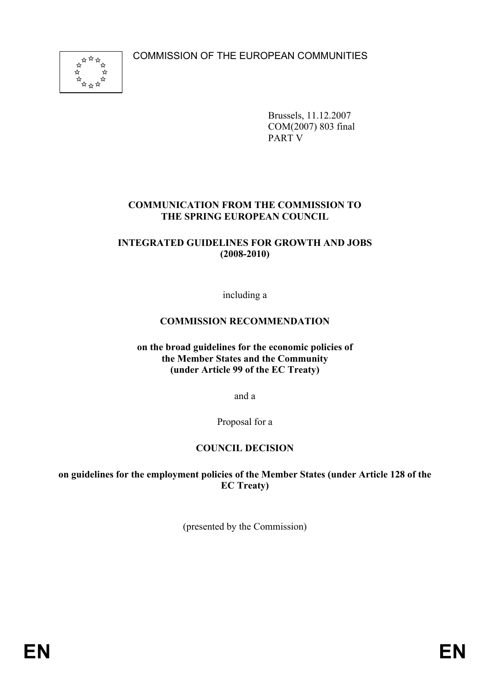COMMISSION OF THE EUROPEAN COMMUNITIES



Brussels, 11.12.2007 COM(2007) 803 final PART V

#### **COMMUNICATION FROM THE COMMISSION TO THE SPRING EUROPEAN COUNCIL**

#### **INTEGRATED GUIDELINES FOR GROWTH AND JOBS (2008-2010)**

including a

### **COMMISSION RECOMMENDATION**

**on the broad guidelines for the economic policies of the Member States and the Community (under Article 99 of the EC Treaty)** 

and a

Proposal for a

#### **COUNCIL DECISION**

**on guidelines for the employment policies of the Member States (under Article 128 of the EC Treaty)** 

(presented by the Commission)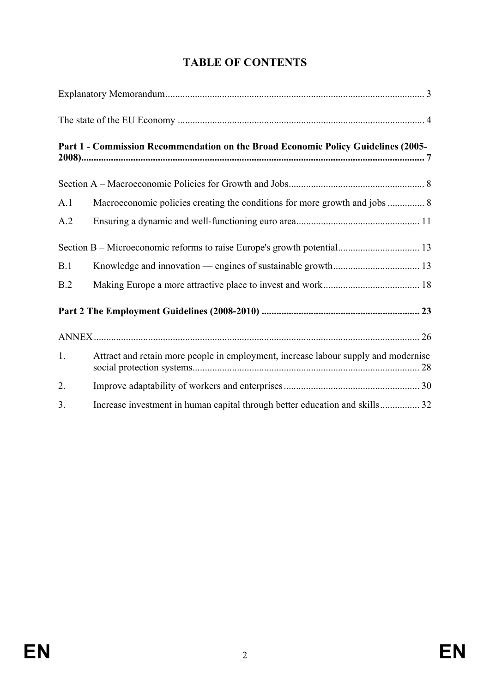# **TABLE OF CONTENTS**

| Part 1 - Commission Recommendation on the Broad Economic Policy Guidelines (2005- |                                                                                    |
|-----------------------------------------------------------------------------------|------------------------------------------------------------------------------------|
|                                                                                   |                                                                                    |
| A.1                                                                               | Macroeconomic policies creating the conditions for more growth and jobs  8         |
| A.2                                                                               |                                                                                    |
|                                                                                   |                                                                                    |
| B.1                                                                               |                                                                                    |
| B.2                                                                               |                                                                                    |
|                                                                                   |                                                                                    |
|                                                                                   |                                                                                    |
| 1.                                                                                | Attract and retain more people in employment, increase labour supply and modernise |
| 2.                                                                                |                                                                                    |
| 3.                                                                                | Increase investment in human capital through better education and skills 32        |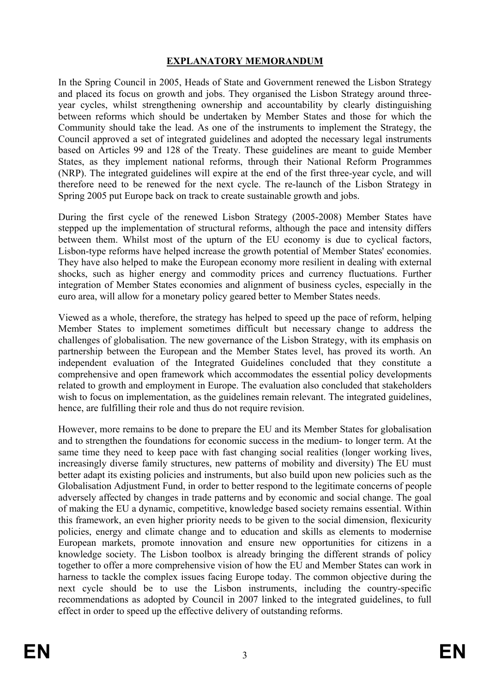# **EXPLANATORY MEMORANDUM**

In the Spring Council in 2005, Heads of State and Government renewed the Lisbon Strategy and placed its focus on growth and jobs. They organised the Lisbon Strategy around threeyear cycles, whilst strengthening ownership and accountability by clearly distinguishing between reforms which should be undertaken by Member States and those for which the Community should take the lead. As one of the instruments to implement the Strategy, the Council approved a set of integrated guidelines and adopted the necessary legal instruments based on Articles 99 and 128 of the Treaty. These guidelines are meant to guide Member States, as they implement national reforms, through their National Reform Programmes (NRP). The integrated guidelines will expire at the end of the first three-year cycle, and will therefore need to be renewed for the next cycle. The re-launch of the Lisbon Strategy in Spring 2005 put Europe back on track to create sustainable growth and jobs.

During the first cycle of the renewed Lisbon Strategy (2005-2008) Member States have stepped up the implementation of structural reforms, although the pace and intensity differs between them. Whilst most of the upturn of the EU economy is due to cyclical factors, Lisbon-type reforms have helped increase the growth potential of Member States' economies. They have also helped to make the European economy more resilient in dealing with external shocks, such as higher energy and commodity prices and currency fluctuations. Further integration of Member States economies and alignment of business cycles, especially in the euro area, will allow for a monetary policy geared better to Member States needs.

Viewed as a whole, therefore, the strategy has helped to speed up the pace of reform, helping Member States to implement sometimes difficult but necessary change to address the challenges of globalisation. The new governance of the Lisbon Strategy, with its emphasis on partnership between the European and the Member States level, has proved its worth. An independent evaluation of the Integrated Guidelines concluded that they constitute a comprehensive and open framework which accommodates the essential policy developments related to growth and employment in Europe. The evaluation also concluded that stakeholders wish to focus on implementation, as the guidelines remain relevant. The integrated guidelines, hence, are fulfilling their role and thus do not require revision.

However, more remains to be done to prepare the EU and its Member States for globalisation and to strengthen the foundations for economic success in the medium- to longer term. At the same time they need to keep pace with fast changing social realities (longer working lives, increasingly diverse family structures, new patterns of mobility and diversity) The EU must better adapt its existing policies and instruments, but also build upon new policies such as the Globalisation Adjustment Fund, in order to better respond to the legitimate concerns of people adversely affected by changes in trade patterns and by economic and social change. The goal of making the EU a dynamic, competitive, knowledge based society remains essential. Within this framework, an even higher priority needs to be given to the social dimension, flexicurity policies, energy and climate change and to education and skills as elements to modernise European markets, promote innovation and ensure new opportunities for citizens in a knowledge society. The Lisbon toolbox is already bringing the different strands of policy together to offer a more comprehensive vision of how the EU and Member States can work in harness to tackle the complex issues facing Europe today. The common objective during the next cycle should be to use the Lisbon instruments, including the country-specific recommendations as adopted by Council in 2007 linked to the integrated guidelines, to full effect in order to speed up the effective delivery of outstanding reforms.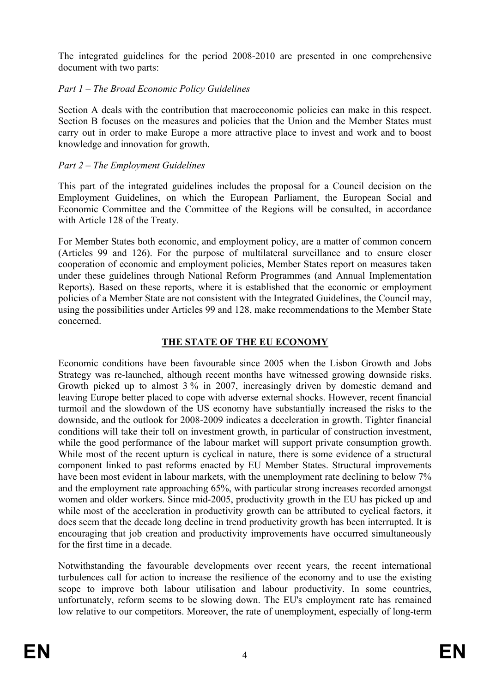The integrated guidelines for the period 2008-2010 are presented in one comprehensive document with two parts:

# *Part 1 – The Broad Economic Policy Guidelines*

Section A deals with the contribution that macroeconomic policies can make in this respect. Section B focuses on the measures and policies that the Union and the Member States must carry out in order to make Europe a more attractive place to invest and work and to boost knowledge and innovation for growth.

#### *Part 2 – The Employment Guidelines*

This part of the integrated guidelines includes the proposal for a Council decision on the Employment Guidelines, on which the European Parliament, the European Social and Economic Committee and the Committee of the Regions will be consulted, in accordance with Article 128 of the Treaty.

For Member States both economic, and employment policy, are a matter of common concern (Articles 99 and 126). For the purpose of multilateral surveillance and to ensure closer cooperation of economic and employment policies, Member States report on measures taken under these guidelines through National Reform Programmes (and Annual Implementation Reports). Based on these reports, where it is established that the economic or employment policies of a Member State are not consistent with the Integrated Guidelines, the Council may, using the possibilities under Articles 99 and 128, make recommendations to the Member State concerned.

# **THE STATE OF THE EU ECONOMY**

Economic conditions have been favourable since 2005 when the Lisbon Growth and Jobs Strategy was re-launched, although recent months have witnessed growing downside risks. Growth picked up to almost 3 % in 2007, increasingly driven by domestic demand and leaving Europe better placed to cope with adverse external shocks. However, recent financial turmoil and the slowdown of the US economy have substantially increased the risks to the downside, and the outlook for 2008-2009 indicates a deceleration in growth. Tighter financial conditions will take their toll on investment growth, in particular of construction investment, while the good performance of the labour market will support private consumption growth. While most of the recent upturn is cyclical in nature, there is some evidence of a structural component linked to past reforms enacted by EU Member States. Structural improvements have been most evident in labour markets, with the unemployment rate declining to below 7% and the employment rate approaching 65%, with particular strong increases recorded amongst women and older workers. Since mid-2005, productivity growth in the EU has picked up and while most of the acceleration in productivity growth can be attributed to cyclical factors, it does seem that the decade long decline in trend productivity growth has been interrupted. It is encouraging that job creation and productivity improvements have occurred simultaneously for the first time in a decade.

Notwithstanding the favourable developments over recent years, the recent international turbulences call for action to increase the resilience of the economy and to use the existing scope to improve both labour utilisation and labour productivity. In some countries, unfortunately, reform seems to be slowing down. The EU's employment rate has remained low relative to our competitors. Moreover, the rate of unemployment, especially of long-term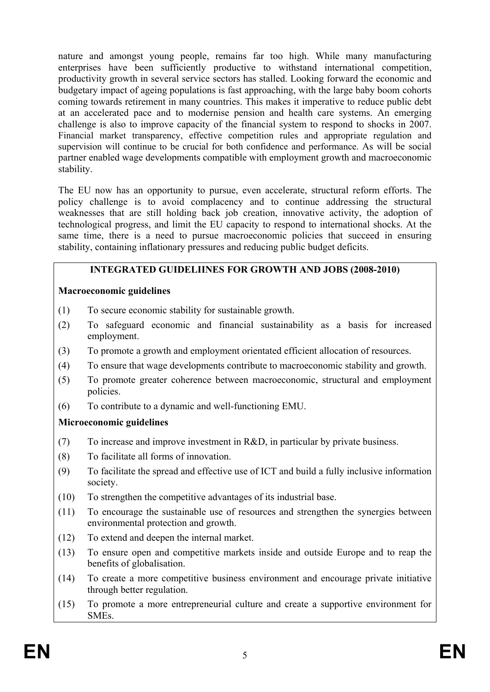nature and amongst young people, remains far too high. While many manufacturing enterprises have been sufficiently productive to withstand international competition, productivity growth in several service sectors has stalled. Looking forward the economic and budgetary impact of ageing populations is fast approaching, with the large baby boom cohorts coming towards retirement in many countries. This makes it imperative to reduce public debt at an accelerated pace and to modernise pension and health care systems. An emerging challenge is also to improve capacity of the financial system to respond to shocks in 2007. Financial market transparency, effective competition rules and appropriate regulation and supervision will continue to be crucial for both confidence and performance. As will be social partner enabled wage developments compatible with employment growth and macroeconomic stability.

The EU now has an opportunity to pursue, even accelerate, structural reform efforts. The policy challenge is to avoid complacency and to continue addressing the structural weaknesses that are still holding back job creation, innovative activity, the adoption of technological progress, and limit the EU capacity to respond to international shocks. At the same time, there is a need to pursue macroeconomic policies that succeed in ensuring stability, containing inflationary pressures and reducing public budget deficits.

#### **INTEGRATED GUIDELIINES FOR GROWTH AND JOBS (2008-2010)**

#### **Macroeconomic guidelines**

- (1) To secure economic stability for sustainable growth.
- (2) To safeguard economic and financial sustainability as a basis for increased employment.
- (3) To promote a growth and employment orientated efficient allocation of resources.
- (4) To ensure that wage developments contribute to macroeconomic stability and growth.
- (5) To promote greater coherence between macroeconomic, structural and employment policies.
- (6) To contribute to a dynamic and well-functioning EMU.

# **Microeconomic guidelines**

- (7) To increase and improve investment in R&D, in particular by private business.
- (8) To facilitate all forms of innovation.
- (9) To facilitate the spread and effective use of ICT and build a fully inclusive information society.
- (10) To strengthen the competitive advantages of its industrial base.
- (11) To encourage the sustainable use of resources and strengthen the synergies between environmental protection and growth.
- (12) To extend and deepen the internal market.
- (13) To ensure open and competitive markets inside and outside Europe and to reap the benefits of globalisation.
- (14) To create a more competitive business environment and encourage private initiative through better regulation.
- (15) To promote a more entrepreneurial culture and create a supportive environment for SMEs.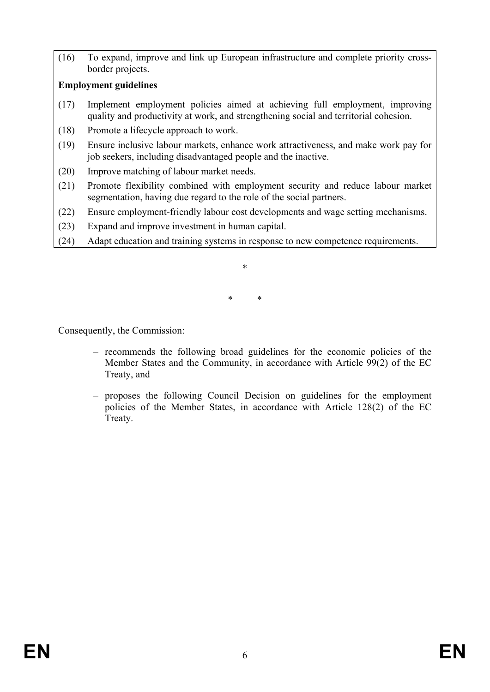(16) To expand, improve and link up European infrastructure and complete priority crossborder projects.

### **Employment guidelines**

- (17) Implement employment policies aimed at achieving full employment, improving quality and productivity at work, and strengthening social and territorial cohesion.
- (18) Promote a lifecycle approach to work.
- (19) Ensure inclusive labour markets, enhance work attractiveness, and make work pay for job seekers, including disadvantaged people and the inactive.
- (20) Improve matching of labour market needs.
- (21) Promote flexibility combined with employment security and reduce labour market segmentation, having due regard to the role of the social partners.
- (22) Ensure employment-friendly labour cost developments and wage setting mechanisms.
- (23) Expand and improve investment in human capital.
- (24) Adapt education and training systems in response to new competence requirements.

\*

\* \*

Consequently, the Commission:

- recommends the following broad guidelines for the economic policies of the Member States and the Community, in accordance with Article 99(2) of the EC Treaty, and
- proposes the following Council Decision on guidelines for the employment policies of the Member States, in accordance with Article 128(2) of the EC Treaty.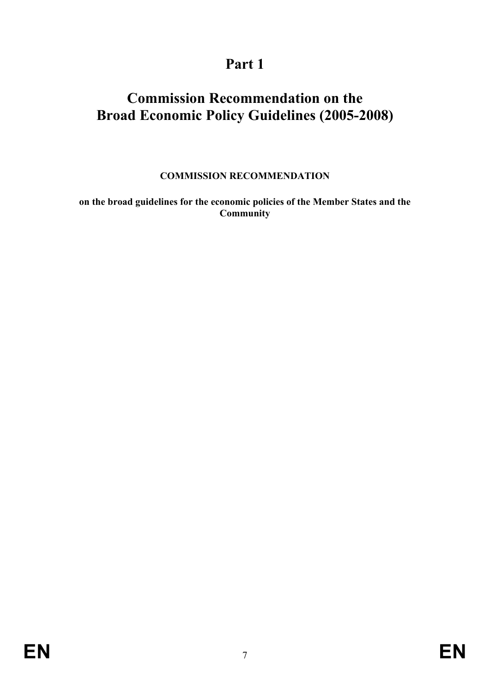# **Part 1**

# **Commission Recommendation on the Broad Economic Policy Guidelines (2005-2008)**

# **COMMISSION RECOMMENDATION**

### **on the broad guidelines for the economic policies of the Member States and the Community**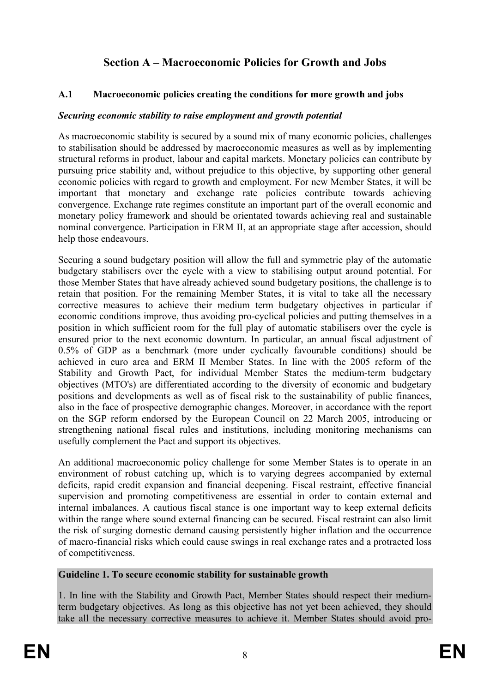# **Section A – Macroeconomic Policies for Growth and Jobs**

#### **A.1 Macroeconomic policies creating the conditions for more growth and jobs**

#### *Securing economic stability to raise employment and growth potential*

As macroeconomic stability is secured by a sound mix of many economic policies, challenges to stabilisation should be addressed by macroeconomic measures as well as by implementing structural reforms in product, labour and capital markets. Monetary policies can contribute by pursuing price stability and, without prejudice to this objective, by supporting other general economic policies with regard to growth and employment. For new Member States, it will be important that monetary and exchange rate policies contribute towards achieving convergence. Exchange rate regimes constitute an important part of the overall economic and monetary policy framework and should be orientated towards achieving real and sustainable nominal convergence. Participation in ERM II, at an appropriate stage after accession, should help those endeavours.

Securing a sound budgetary position will allow the full and symmetric play of the automatic budgetary stabilisers over the cycle with a view to stabilising output around potential. For those Member States that have already achieved sound budgetary positions, the challenge is to retain that position. For the remaining Member States, it is vital to take all the necessary corrective measures to achieve their medium term budgetary objectives in particular if economic conditions improve, thus avoiding pro-cyclical policies and putting themselves in a position in which sufficient room for the full play of automatic stabilisers over the cycle is ensured prior to the next economic downturn. In particular, an annual fiscal adjustment of 0.5% of GDP as a benchmark (more under cyclically favourable conditions) should be achieved in euro area and ERM II Member States. In line with the 2005 reform of the Stability and Growth Pact, for individual Member States the medium-term budgetary objectives (MTO's) are differentiated according to the diversity of economic and budgetary positions and developments as well as of fiscal risk to the sustainability of public finances, also in the face of prospective demographic changes. Moreover, in accordance with the report on the SGP reform endorsed by the European Council on 22 March 2005, introducing or strengthening national fiscal rules and institutions, including monitoring mechanisms can usefully complement the Pact and support its objectives.

An additional macroeconomic policy challenge for some Member States is to operate in an environment of robust catching up, which is to varying degrees accompanied by external deficits, rapid credit expansion and financial deepening. Fiscal restraint, effective financial supervision and promoting competitiveness are essential in order to contain external and internal imbalances. A cautious fiscal stance is one important way to keep external deficits within the range where sound external financing can be secured. Fiscal restraint can also limit the risk of surging domestic demand causing persistently higher inflation and the occurrence of macro-financial risks which could cause swings in real exchange rates and a protracted loss of competitiveness.

#### **Guideline 1. To secure economic stability for sustainable growth**

1. In line with the Stability and Growth Pact, Member States should respect their mediumterm budgetary objectives. As long as this objective has not yet been achieved, they should take all the necessary corrective measures to achieve it. Member States should avoid pro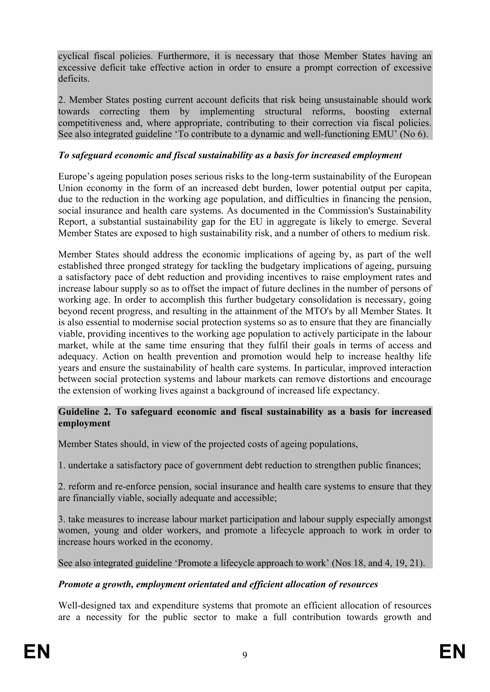cyclical fiscal policies. Furthermore, it is necessary that those Member States having an excessive deficit take effective action in order to ensure a prompt correction of excessive deficits.

2. Member States posting current account deficits that risk being unsustainable should work towards correcting them by implementing structural reforms, boosting external competitiveness and, where appropriate, contributing to their correction via fiscal policies. See also integrated guideline 'To contribute to a dynamic and well-functioning EMU' (No 6).

#### *To safeguard economic and fiscal sustainability as a basis for increased employment*

Europe's ageing population poses serious risks to the long-term sustainability of the European Union economy in the form of an increased debt burden, lower potential output per capita, due to the reduction in the working age population, and difficulties in financing the pension, social insurance and health care systems. As documented in the Commission's Sustainability Report, a substantial sustainability gap for the EU in aggregate is likely to emerge. Several Member States are exposed to high sustainability risk, and a number of others to medium risk.

Member States should address the economic implications of ageing by, as part of the well established three pronged strategy for tackling the budgetary implications of ageing, pursuing a satisfactory pace of debt reduction and providing incentives to raise employment rates and increase labour supply so as to offset the impact of future declines in the number of persons of working age. In order to accomplish this further budgetary consolidation is necessary, going beyond recent progress, and resulting in the attainment of the MTO's by all Member States. It is also essential to modernise social protection systems so as to ensure that they are financially viable, providing incentives to the working age population to actively participate in the labour market, while at the same time ensuring that they fulfil their goals in terms of access and adequacy. Action on health prevention and promotion would help to increase healthy life years and ensure the sustainability of health care systems. In particular, improved interaction between social protection systems and labour markets can remove distortions and encourage the extension of working lives against a background of increased life expectancy.

#### **Guideline 2. To safeguard economic and fiscal sustainability as a basis for increased employment**

Member States should, in view of the projected costs of ageing populations,

1. undertake a satisfactory pace of government debt reduction to strengthen public finances;

2. reform and re-enforce pension, social insurance and health care systems to ensure that they are financially viable, socially adequate and accessible;

3. take measures to increase labour market participation and labour supply especially amongst women, young and older workers, and promote a lifecycle approach to work in order to increase hours worked in the economy.

See also integrated guideline 'Promote a lifecycle approach to work' (Nos 18, and 4, 19, 21).

# *Promote a growth, employment orientated and efficient allocation of resources*

Well-designed tax and expenditure systems that promote an efficient allocation of resources are a necessity for the public sector to make a full contribution towards growth and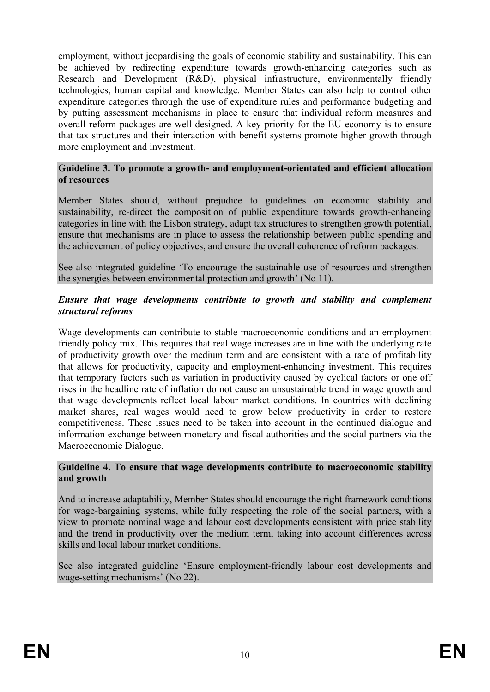employment, without jeopardising the goals of economic stability and sustainability. This can be achieved by redirecting expenditure towards growth-enhancing categories such as Research and Development (R&D), physical infrastructure, environmentally friendly technologies, human capital and knowledge. Member States can also help to control other expenditure categories through the use of expenditure rules and performance budgeting and by putting assessment mechanisms in place to ensure that individual reform measures and overall reform packages are well-designed. A key priority for the EU economy is to ensure that tax structures and their interaction with benefit systems promote higher growth through more employment and investment.

#### **Guideline 3. To promote a growth- and employment-orientated and efficient allocation of resources**

Member States should, without prejudice to guidelines on economic stability and sustainability, re-direct the composition of public expenditure towards growth-enhancing categories in line with the Lisbon strategy, adapt tax structures to strengthen growth potential, ensure that mechanisms are in place to assess the relationship between public spending and the achievement of policy objectives, and ensure the overall coherence of reform packages.

See also integrated guideline 'To encourage the sustainable use of resources and strengthen the synergies between environmental protection and growth' (No 11).

#### *Ensure that wage developments contribute to growth and stability and complement structural reforms*

Wage developments can contribute to stable macroeconomic conditions and an employment friendly policy mix. This requires that real wage increases are in line with the underlying rate of productivity growth over the medium term and are consistent with a rate of profitability that allows for productivity, capacity and employment-enhancing investment. This requires that temporary factors such as variation in productivity caused by cyclical factors or one off rises in the headline rate of inflation do not cause an unsustainable trend in wage growth and that wage developments reflect local labour market conditions. In countries with declining market shares, real wages would need to grow below productivity in order to restore competitiveness. These issues need to be taken into account in the continued dialogue and information exchange between monetary and fiscal authorities and the social partners via the Macroeconomic Dialogue.

#### **Guideline 4. To ensure that wage developments contribute to macroeconomic stability and growth**

And to increase adaptability, Member States should encourage the right framework conditions for wage-bargaining systems, while fully respecting the role of the social partners, with a view to promote nominal wage and labour cost developments consistent with price stability and the trend in productivity over the medium term, taking into account differences across skills and local labour market conditions.

See also integrated guideline 'Ensure employment-friendly labour cost developments and wage-setting mechanisms' (No 22).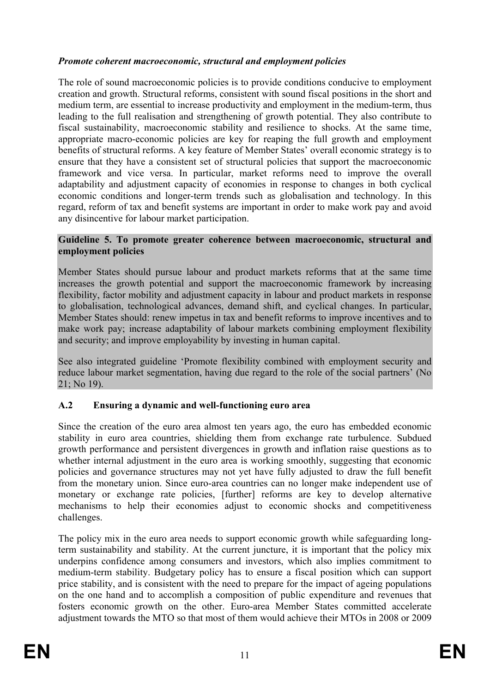#### *Promote coherent macroeconomic, structural and employment policies*

The role of sound macroeconomic policies is to provide conditions conducive to employment creation and growth. Structural reforms, consistent with sound fiscal positions in the short and medium term, are essential to increase productivity and employment in the medium-term, thus leading to the full realisation and strengthening of growth potential. They also contribute to fiscal sustainability, macroeconomic stability and resilience to shocks. At the same time, appropriate macro-economic policies are key for reaping the full growth and employment benefits of structural reforms. A key feature of Member States' overall economic strategy is to ensure that they have a consistent set of structural policies that support the macroeconomic framework and vice versa. In particular, market reforms need to improve the overall adaptability and adjustment capacity of economies in response to changes in both cyclical economic conditions and longer-term trends such as globalisation and technology. In this regard, reform of tax and benefit systems are important in order to make work pay and avoid any disincentive for labour market participation.

#### **Guideline 5. To promote greater coherence between macroeconomic, structural and employment policies**

Member States should pursue labour and product markets reforms that at the same time increases the growth potential and support the macroeconomic framework by increasing flexibility, factor mobility and adjustment capacity in labour and product markets in response to globalisation, technological advances, demand shift, and cyclical changes. In particular, Member States should: renew impetus in tax and benefit reforms to improve incentives and to make work pay; increase adaptability of labour markets combining employment flexibility and security; and improve employability by investing in human capital.

See also integrated guideline 'Promote flexibility combined with employment security and reduce labour market segmentation, having due regard to the role of the social partners' (No 21; No 19).

# **A.2 Ensuring a dynamic and well-functioning euro area**

Since the creation of the euro area almost ten years ago, the euro has embedded economic stability in euro area countries, shielding them from exchange rate turbulence. Subdued growth performance and persistent divergences in growth and inflation raise questions as to whether internal adjustment in the euro area is working smoothly, suggesting that economic policies and governance structures may not yet have fully adjusted to draw the full benefit from the monetary union. Since euro-area countries can no longer make independent use of monetary or exchange rate policies, [further] reforms are key to develop alternative mechanisms to help their economies adjust to economic shocks and competitiveness challenges.

The policy mix in the euro area needs to support economic growth while safeguarding longterm sustainability and stability. At the current juncture, it is important that the policy mix underpins confidence among consumers and investors, which also implies commitment to medium-term stability. Budgetary policy has to ensure a fiscal position which can support price stability, and is consistent with the need to prepare for the impact of ageing populations on the one hand and to accomplish a composition of public expenditure and revenues that fosters economic growth on the other. Euro-area Member States committed accelerate adjustment towards the MTO so that most of them would achieve their MTOs in 2008 or 2009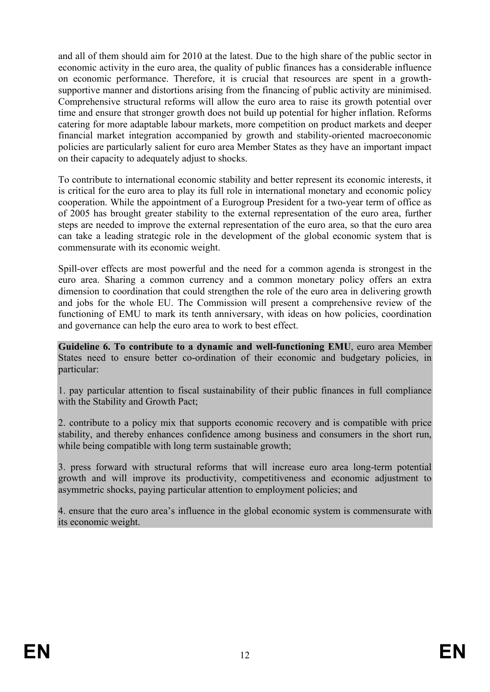and all of them should aim for 2010 at the latest. Due to the high share of the public sector in economic activity in the euro area, the quality of public finances has a considerable influence on economic performance. Therefore, it is crucial that resources are spent in a growthsupportive manner and distortions arising from the financing of public activity are minimised. Comprehensive structural reforms will allow the euro area to raise its growth potential over time and ensure that stronger growth does not build up potential for higher inflation. Reforms catering for more adaptable labour markets, more competition on product markets and deeper financial market integration accompanied by growth and stability-oriented macroeconomic policies are particularly salient for euro area Member States as they have an important impact on their capacity to adequately adjust to shocks.

To contribute to international economic stability and better represent its economic interests, it is critical for the euro area to play its full role in international monetary and economic policy cooperation. While the appointment of a Eurogroup President for a two-year term of office as of 2005 has brought greater stability to the external representation of the euro area, further steps are needed to improve the external representation of the euro area, so that the euro area can take a leading strategic role in the development of the global economic system that is commensurate with its economic weight.

Spill-over effects are most powerful and the need for a common agenda is strongest in the euro area. Sharing a common currency and a common monetary policy offers an extra dimension to coordination that could strengthen the role of the euro area in delivering growth and jobs for the whole EU. The Commission will present a comprehensive review of the functioning of EMU to mark its tenth anniversary, with ideas on how policies, coordination and governance can help the euro area to work to best effect.

**Guideline 6. To contribute to a dynamic and well-functioning EMU**, euro area Member States need to ensure better co-ordination of their economic and budgetary policies, in particular:

1. pay particular attention to fiscal sustainability of their public finances in full compliance with the Stability and Growth Pact;

2. contribute to a policy mix that supports economic recovery and is compatible with price stability, and thereby enhances confidence among business and consumers in the short run, while being compatible with long term sustainable growth;

3. press forward with structural reforms that will increase euro area long-term potential growth and will improve its productivity, competitiveness and economic adjustment to asymmetric shocks, paying particular attention to employment policies; and

4. ensure that the euro area's influence in the global economic system is commensurate with its economic weight.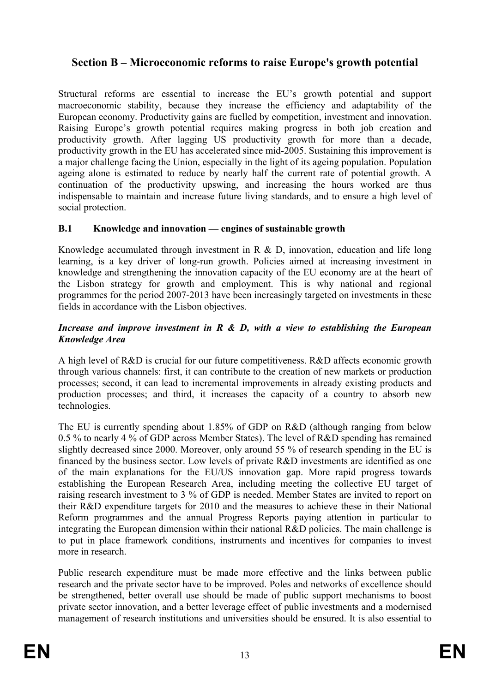# **Section B – Microeconomic reforms to raise Europe's growth potential**

Structural reforms are essential to increase the EU's growth potential and support macroeconomic stability, because they increase the efficiency and adaptability of the European economy. Productivity gains are fuelled by competition, investment and innovation. Raising Europe's growth potential requires making progress in both job creation and productivity growth. After lagging US productivity growth for more than a decade, productivity growth in the EU has accelerated since mid-2005. Sustaining this improvement is a major challenge facing the Union, especially in the light of its ageing population. Population ageing alone is estimated to reduce by nearly half the current rate of potential growth. A continuation of the productivity upswing, and increasing the hours worked are thus indispensable to maintain and increase future living standards, and to ensure a high level of social protection.

#### **B.1 Knowledge and innovation — engines of sustainable growth**

Knowledge accumulated through investment in R & D, innovation, education and life long learning, is a key driver of long-run growth. Policies aimed at increasing investment in knowledge and strengthening the innovation capacity of the EU economy are at the heart of the Lisbon strategy for growth and employment. This is why national and regional programmes for the period 2007-2013 have been increasingly targeted on investments in these fields in accordance with the Lisbon objectives.

#### *Increase and improve investment in R & D, with a view to establishing the European Knowledge Area*

A high level of R&D is crucial for our future competitiveness. R&D affects economic growth through various channels: first, it can contribute to the creation of new markets or production processes; second, it can lead to incremental improvements in already existing products and production processes; and third, it increases the capacity of a country to absorb new technologies.

The EU is currently spending about 1.85% of GDP on R&D (although ranging from below 0.5 % to nearly 4 % of GDP across Member States). The level of R&D spending has remained slightly decreased since 2000. Moreover, only around 55 % of research spending in the EU is financed by the business sector. Low levels of private R&D investments are identified as one of the main explanations for the EU/US innovation gap. More rapid progress towards establishing the European Research Area, including meeting the collective EU target of raising research investment to 3 % of GDP is needed. Member States are invited to report on their R&D expenditure targets for 2010 and the measures to achieve these in their National Reform programmes and the annual Progress Reports paying attention in particular to integrating the European dimension within their national R&D policies. The main challenge is to put in place framework conditions, instruments and incentives for companies to invest more in research.

Public research expenditure must be made more effective and the links between public research and the private sector have to be improved. Poles and networks of excellence should be strengthened, better overall use should be made of public support mechanisms to boost private sector innovation, and a better leverage effect of public investments and a modernised management of research institutions and universities should be ensured. It is also essential to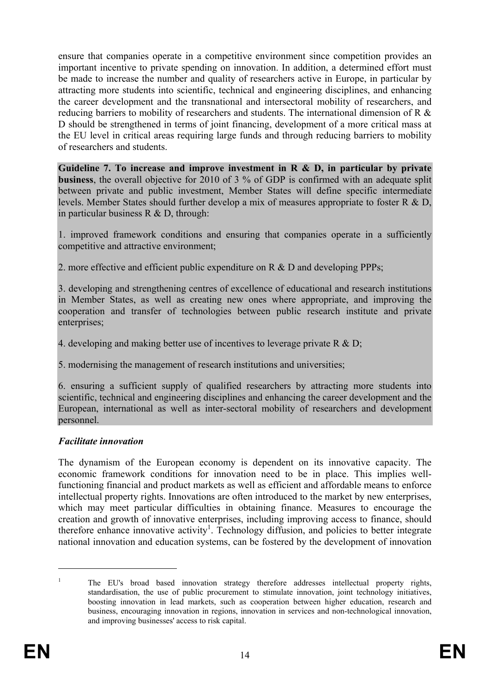ensure that companies operate in a competitive environment since competition provides an important incentive to private spending on innovation. In addition, a determined effort must be made to increase the number and quality of researchers active in Europe, in particular by attracting more students into scientific, technical and engineering disciplines, and enhancing the career development and the transnational and intersectoral mobility of researchers, and reducing barriers to mobility of researchers and students. The international dimension of R & D should be strengthened in terms of joint financing, development of a more critical mass at the EU level in critical areas requiring large funds and through reducing barriers to mobility of researchers and students.

**Guideline 7. To increase and improve investment in R & D, in particular by private business**, the overall objective for 2010 of 3 % of GDP is confirmed with an adequate split between private and public investment, Member States will define specific intermediate levels. Member States should further develop a mix of measures appropriate to foster R & D, in particular business R & D, through:

1. improved framework conditions and ensuring that companies operate in a sufficiently competitive and attractive environment;

2. more effective and efficient public expenditure on R & D and developing PPPs;

3. developing and strengthening centres of excellence of educational and research institutions in Member States, as well as creating new ones where appropriate, and improving the cooperation and transfer of technologies between public research institute and private enterprises;

4. developing and making better use of incentives to leverage private R & D;

5. modernising the management of research institutions and universities;

6. ensuring a sufficient supply of qualified researchers by attracting more students into scientific, technical and engineering disciplines and enhancing the career development and the European, international as well as inter-sectoral mobility of researchers and development personnel.

# *Facilitate innovation*

The dynamism of the European economy is dependent on its innovative capacity. The economic framework conditions for innovation need to be in place. This implies wellfunctioning financial and product markets as well as efficient and affordable means to enforce intellectual property rights. Innovations are often introduced to the market by new enterprises, which may meet particular difficulties in obtaining finance. Measures to encourage the creation and growth of innovative enterprises, including improving access to finance, should therefore enhance innovative activity<sup>1</sup>. Technology diffusion, and policies to better integrate national innovation and education systems, can be fostered by the development of innovation

<u>.</u>

<sup>1</sup> The EU's broad based innovation strategy therefore addresses intellectual property rights, standardisation, the use of public procurement to stimulate innovation, joint technology initiatives, boosting innovation in lead markets, such as cooperation between higher education, research and business, encouraging innovation in regions, innovation in services and non-technological innovation, and improving businesses' access to risk capital.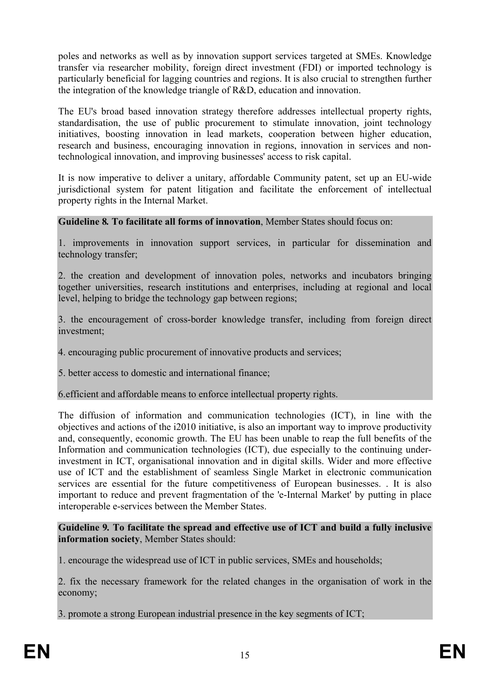poles and networks as well as by innovation support services targeted at SMEs. Knowledge transfer via researcher mobility, foreign direct investment (FDI) or imported technology is particularly beneficial for lagging countries and regions. It is also crucial to strengthen further the integration of the knowledge triangle of R&D, education and innovation.

The EU's broad based innovation strategy therefore addresses intellectual property rights, standardisation, the use of public procurement to stimulate innovation, joint technology initiatives, boosting innovation in lead markets, cooperation between higher education, research and business, encouraging innovation in regions, innovation in services and nontechnological innovation, and improving businesses' access to risk capital.

It is now imperative to deliver a unitary, affordable Community patent, set up an EU-wide jurisdictional system for patent litigation and facilitate the enforcement of intellectual property rights in the Internal Market.

**Guideline 8***.* **To facilitate all forms of innovation**, Member States should focus on:

1. improvements in innovation support services, in particular for dissemination and technology transfer;

2. the creation and development of innovation poles, networks and incubators bringing together universities, research institutions and enterprises, including at regional and local level, helping to bridge the technology gap between regions;

3. the encouragement of cross-border knowledge transfer, including from foreign direct investment;

4. encouraging public procurement of innovative products and services;

5. better access to domestic and international finance;

6.efficient and affordable means to enforce intellectual property rights.

The diffusion of information and communication technologies (ICT), in line with the objectives and actions of the i2010 initiative, is also an important way to improve productivity and, consequently, economic growth. The EU has been unable to reap the full benefits of the Information and communication technologies (ICT), due especially to the continuing underinvestment in ICT, organisational innovation and in digital skills. Wider and more effective use of ICT and the establishment of seamless Single Market in electronic communication services are essential for the future competitiveness of European businesses. . It is also important to reduce and prevent fragmentation of the 'e-Internal Market' by putting in place interoperable e-services between the Member States.

**Guideline 9***.* **To facilitate the spread and effective use of ICT and build a fully inclusive information society**, Member States should:

1. encourage the widespread use of ICT in public services, SMEs and households;

2. fix the necessary framework for the related changes in the organisation of work in the economy;

3. promote a strong European industrial presence in the key segments of ICT;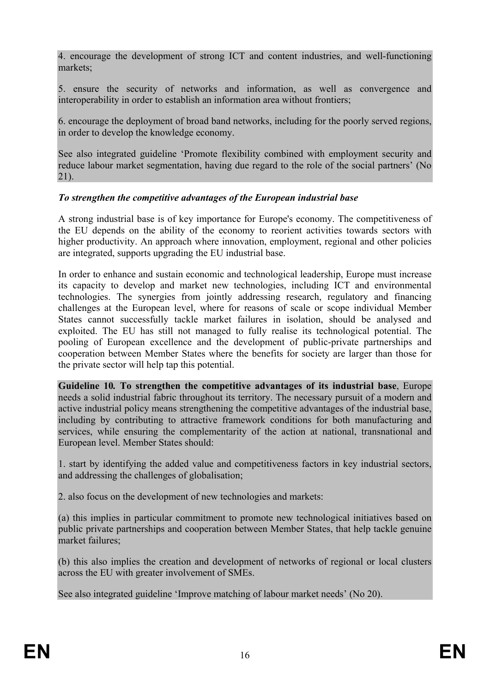4. encourage the development of strong ICT and content industries, and well-functioning markets;

5. ensure the security of networks and information, as well as convergence and interoperability in order to establish an information area without frontiers;

6. encourage the deployment of broad band networks, including for the poorly served regions, in order to develop the knowledge economy.

See also integrated guideline 'Promote flexibility combined with employment security and reduce labour market segmentation, having due regard to the role of the social partners' (No 21).

#### *To strengthen the competitive advantages of the European industrial base*

A strong industrial base is of key importance for Europe's economy. The competitiveness of the EU depends on the ability of the economy to reorient activities towards sectors with higher productivity. An approach where innovation, employment, regional and other policies are integrated, supports upgrading the EU industrial base.

In order to enhance and sustain economic and technological leadership, Europe must increase its capacity to develop and market new technologies, including ICT and environmental technologies. The synergies from jointly addressing research, regulatory and financing challenges at the European level, where for reasons of scale or scope individual Member States cannot successfully tackle market failures in isolation, should be analysed and exploited. The EU has still not managed to fully realise its technological potential. The pooling of European excellence and the development of public-private partnerships and cooperation between Member States where the benefits for society are larger than those for the private sector will help tap this potential.

**Guideline 10***.* **To strengthen the competitive advantages of its industrial base**, Europe needs a solid industrial fabric throughout its territory. The necessary pursuit of a modern and active industrial policy means strengthening the competitive advantages of the industrial base, including by contributing to attractive framework conditions for both manufacturing and services, while ensuring the complementarity of the action at national, transnational and European level. Member States should:

1. start by identifying the added value and competitiveness factors in key industrial sectors, and addressing the challenges of globalisation;

2. also focus on the development of new technologies and markets:

(a) this implies in particular commitment to promote new technological initiatives based on public private partnerships and cooperation between Member States, that help tackle genuine market failures;

(b) this also implies the creation and development of networks of regional or local clusters across the EU with greater involvement of SMEs.

See also integrated guideline 'Improve matching of labour market needs' (No 20).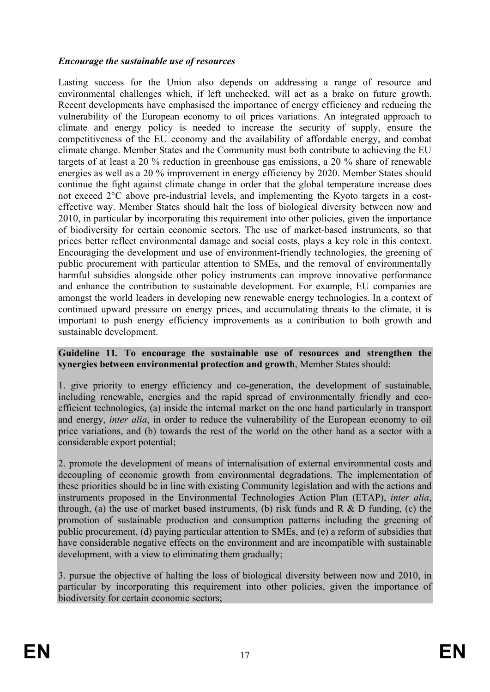#### *Encourage the sustainable use of resources*

Lasting success for the Union also depends on addressing a range of resource and environmental challenges which, if left unchecked, will act as a brake on future growth. Recent developments have emphasised the importance of energy efficiency and reducing the vulnerability of the European economy to oil prices variations. An integrated approach to climate and energy policy is needed to increase the security of supply, ensure the competitiveness of the EU economy and the availability of affordable energy, and combat climate change. Member States and the Community must both contribute to achieving the EU targets of at least a 20 % reduction in greenhouse gas emissions, a 20 % share of renewable energies as well as a 20 % improvement in energy efficiency by 2020. Member States should continue the fight against climate change in order that the global temperature increase does not exceed 2°C above pre-industrial levels, and implementing the Kyoto targets in a costeffective way. Member States should halt the loss of biological diversity between now and 2010, in particular by incorporating this requirement into other policies, given the importance of biodiversity for certain economic sectors. The use of market-based instruments, so that prices better reflect environmental damage and social costs, plays a key role in this context. Encouraging the development and use of environment-friendly technologies, the greening of public procurement with particular attention to SMEs, and the removal of environmentally harmful subsidies alongside other policy instruments can improve innovative performance and enhance the contribution to sustainable development. For example, EU companies are amongst the world leaders in developing new renewable energy technologies. In a context of continued upward pressure on energy prices, and accumulating threats to the climate, it is important to push energy efficiency improvements as a contribution to both growth and sustainable development.

#### **Guideline 11***.* **To encourage the sustainable use of resources and strengthen the synergies between environmental protection and growth**, Member States should:

1. give priority to energy efficiency and co-generation, the development of sustainable, including renewable, energies and the rapid spread of environmentally friendly and ecoefficient technologies, (a) inside the internal market on the one hand particularly in transport and energy, *inter alia*, in order to reduce the vulnerability of the European economy to oil price variations, and (b) towards the rest of the world on the other hand as a sector with a considerable export potential;

2. promote the development of means of internalisation of external environmental costs and decoupling of economic growth from environmental degradations. The implementation of these priorities should be in line with existing Community legislation and with the actions and instruments proposed in the Environmental Technologies Action Plan (ETAP), *inter alia*, through, (a) the use of market based instruments, (b) risk funds and R  $\&$  D funding, (c) the promotion of sustainable production and consumption patterns including the greening of public procurement, (d) paying particular attention to SMEs, and (e) a reform of subsidies that have considerable negative effects on the environment and are incompatible with sustainable development, with a view to eliminating them gradually;

3. pursue the objective of halting the loss of biological diversity between now and 2010, in particular by incorporating this requirement into other policies, given the importance of biodiversity for certain economic sectors;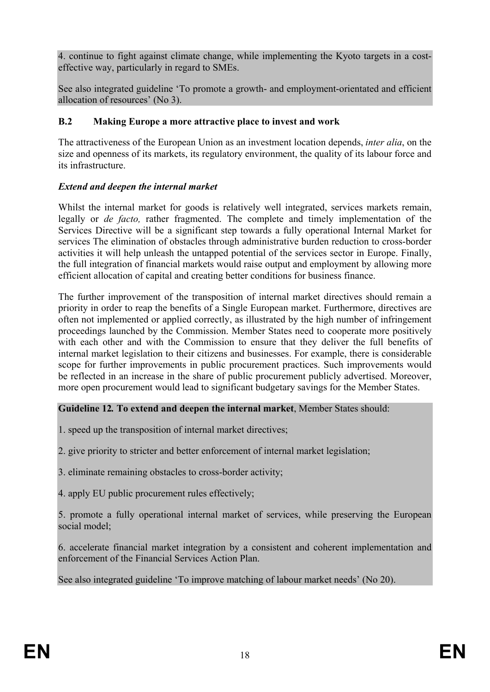4. continue to fight against climate change, while implementing the Kyoto targets in a costeffective way, particularly in regard to SMEs.

See also integrated guideline 'To promote a growth- and employment-orientated and efficient allocation of resources' (No 3).

# **B.2 Making Europe a more attractive place to invest and work**

The attractiveness of the European Union as an investment location depends, *inter alia*, on the size and openness of its markets, its regulatory environment, the quality of its labour force and its infrastructure.

# *Extend and deepen the internal market*

Whilst the internal market for goods is relatively well integrated, services markets remain, legally or *de facto,* rather fragmented. The complete and timely implementation of the Services Directive will be a significant step towards a fully operational Internal Market for services The elimination of obstacles through administrative burden reduction to cross-border activities it will help unleash the untapped potential of the services sector in Europe. Finally, the full integration of financial markets would raise output and employment by allowing more efficient allocation of capital and creating better conditions for business finance.

The further improvement of the transposition of internal market directives should remain a priority in order to reap the benefits of a Single European market. Furthermore, directives are often not implemented or applied correctly, as illustrated by the high number of infringement proceedings launched by the Commission. Member States need to cooperate more positively with each other and with the Commission to ensure that they deliver the full benefits of internal market legislation to their citizens and businesses. For example, there is considerable scope for further improvements in public procurement practices. Such improvements would be reflected in an increase in the share of public procurement publicly advertised. Moreover, more open procurement would lead to significant budgetary savings for the Member States.

# **Guideline 12***.* **To extend and deepen the internal market**, Member States should:

- 1. speed up the transposition of internal market directives;
- 2. give priority to stricter and better enforcement of internal market legislation;
- 3. eliminate remaining obstacles to cross-border activity;
- 4. apply EU public procurement rules effectively;

5. promote a fully operational internal market of services, while preserving the European social model;

6. accelerate financial market integration by a consistent and coherent implementation and enforcement of the Financial Services Action Plan.

See also integrated guideline 'To improve matching of labour market needs' (No 20).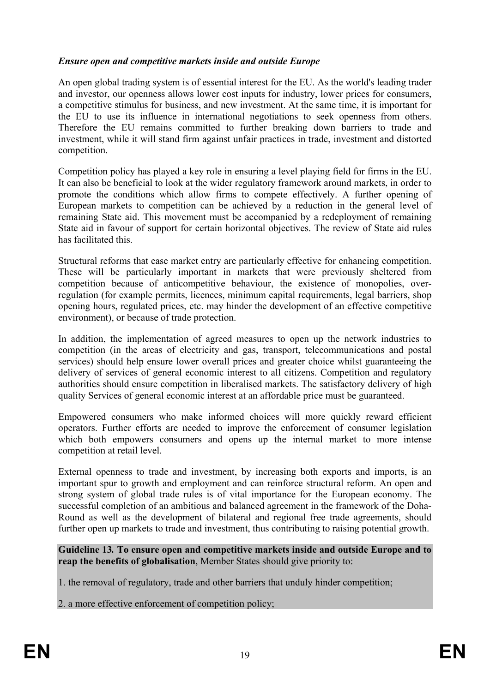#### *Ensure open and competitive markets inside and outside Europe*

An open global trading system is of essential interest for the EU. As the world's leading trader and investor, our openness allows lower cost inputs for industry, lower prices for consumers, a competitive stimulus for business, and new investment. At the same time, it is important for the EU to use its influence in international negotiations to seek openness from others. Therefore the EU remains committed to further breaking down barriers to trade and investment, while it will stand firm against unfair practices in trade, investment and distorted competition.

Competition policy has played a key role in ensuring a level playing field for firms in the EU. It can also be beneficial to look at the wider regulatory framework around markets, in order to promote the conditions which allow firms to compete effectively. A further opening of European markets to competition can be achieved by a reduction in the general level of remaining State aid. This movement must be accompanied by a redeployment of remaining State aid in favour of support for certain horizontal objectives. The review of State aid rules has facilitated this.

Structural reforms that ease market entry are particularly effective for enhancing competition. These will be particularly important in markets that were previously sheltered from competition because of anticompetitive behaviour, the existence of monopolies, overregulation (for example permits, licences, minimum capital requirements, legal barriers, shop opening hours, regulated prices, etc. may hinder the development of an effective competitive environment), or because of trade protection.

In addition, the implementation of agreed measures to open up the network industries to competition (in the areas of electricity and gas, transport, telecommunications and postal services) should help ensure lower overall prices and greater choice whilst guaranteeing the delivery of services of general economic interest to all citizens. Competition and regulatory authorities should ensure competition in liberalised markets. The satisfactory delivery of high quality Services of general economic interest at an affordable price must be guaranteed.

Empowered consumers who make informed choices will more quickly reward efficient operators. Further efforts are needed to improve the enforcement of consumer legislation which both empowers consumers and opens up the internal market to more intense competition at retail level.

External openness to trade and investment, by increasing both exports and imports, is an important spur to growth and employment and can reinforce structural reform. An open and strong system of global trade rules is of vital importance for the European economy. The successful completion of an ambitious and balanced agreement in the framework of the Doha-Round as well as the development of bilateral and regional free trade agreements, should further open up markets to trade and investment, thus contributing to raising potential growth.

**Guideline 13***.* **To ensure open and competitive markets inside and outside Europe and to reap the benefits of globalisation**, Member States should give priority to:

1. the removal of regulatory, trade and other barriers that unduly hinder competition;

2. a more effective enforcement of competition policy;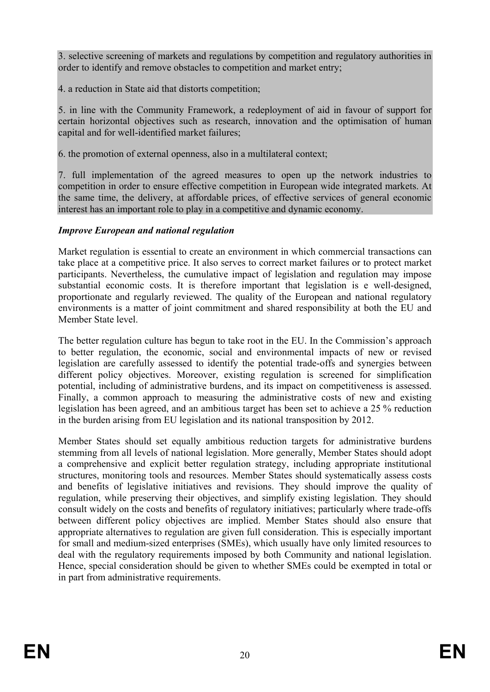3. selective screening of markets and regulations by competition and regulatory authorities in order to identify and remove obstacles to competition and market entry;

4. a reduction in State aid that distorts competition;

5. in line with the Community Framework, a redeployment of aid in favour of support for certain horizontal objectives such as research, innovation and the optimisation of human capital and for well-identified market failures;

6. the promotion of external openness, also in a multilateral context;

7. full implementation of the agreed measures to open up the network industries to competition in order to ensure effective competition in European wide integrated markets. At the same time, the delivery, at affordable prices, of effective services of general economic interest has an important role to play in a competitive and dynamic economy.

# *Improve European and national regulation*

Market regulation is essential to create an environment in which commercial transactions can take place at a competitive price. It also serves to correct market failures or to protect market participants. Nevertheless, the cumulative impact of legislation and regulation may impose substantial economic costs. It is therefore important that legislation is e well-designed, proportionate and regularly reviewed. The quality of the European and national regulatory environments is a matter of joint commitment and shared responsibility at both the EU and Member State level.

The better regulation culture has begun to take root in the EU. In the Commission's approach to better regulation, the economic, social and environmental impacts of new or revised legislation are carefully assessed to identify the potential trade-offs and synergies between different policy objectives. Moreover, existing regulation is screened for simplification potential, including of administrative burdens, and its impact on competitiveness is assessed. Finally, a common approach to measuring the administrative costs of new and existing legislation has been agreed, and an ambitious target has been set to achieve a 25 % reduction in the burden arising from EU legislation and its national transposition by 2012.

Member States should set equally ambitious reduction targets for administrative burdens stemming from all levels of national legislation. More generally, Member States should adopt a comprehensive and explicit better regulation strategy, including appropriate institutional structures, monitoring tools and resources. Member States should systematically assess costs and benefits of legislative initiatives and revisions. They should improve the quality of regulation, while preserving their objectives, and simplify existing legislation. They should consult widely on the costs and benefits of regulatory initiatives; particularly where trade-offs between different policy objectives are implied. Member States should also ensure that appropriate alternatives to regulation are given full consideration. This is especially important for small and medium-sized enterprises (SMEs), which usually have only limited resources to deal with the regulatory requirements imposed by both Community and national legislation. Hence, special consideration should be given to whether SMEs could be exempted in total or in part from administrative requirements.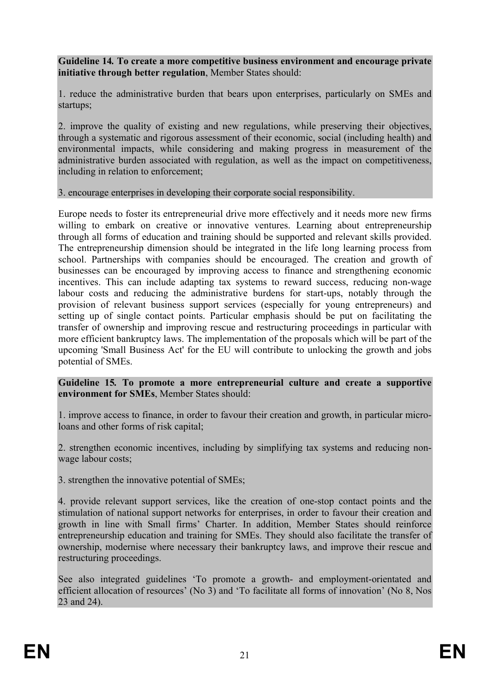**Guideline 14***.* **To create a more competitive business environment and encourage private initiative through better regulation**, Member States should:

1. reduce the administrative burden that bears upon enterprises, particularly on SMEs and startups;

2. improve the quality of existing and new regulations, while preserving their objectives, through a systematic and rigorous assessment of their economic, social (including health) and environmental impacts, while considering and making progress in measurement of the administrative burden associated with regulation, as well as the impact on competitiveness, including in relation to enforcement;

3. encourage enterprises in developing their corporate social responsibility.

Europe needs to foster its entrepreneurial drive more effectively and it needs more new firms willing to embark on creative or innovative ventures. Learning about entrepreneurship through all forms of education and training should be supported and relevant skills provided. The entrepreneurship dimension should be integrated in the life long learning process from school. Partnerships with companies should be encouraged. The creation and growth of businesses can be encouraged by improving access to finance and strengthening economic incentives. This can include adapting tax systems to reward success, reducing non-wage labour costs and reducing the administrative burdens for start-ups, notably through the provision of relevant business support services (especially for young entrepreneurs) and setting up of single contact points. Particular emphasis should be put on facilitating the transfer of ownership and improving rescue and restructuring proceedings in particular with more efficient bankruptcy laws. The implementation of the proposals which will be part of the upcoming 'Small Business Act' for the EU will contribute to unlocking the growth and jobs potential of SMEs.

**Guideline 15***.* **To promote a more entrepreneurial culture and create a supportive environment for SMEs**, Member States should:

1. improve access to finance, in order to favour their creation and growth, in particular microloans and other forms of risk capital;

2. strengthen economic incentives, including by simplifying tax systems and reducing nonwage labour costs;

3. strengthen the innovative potential of SMEs;

4. provide relevant support services, like the creation of one-stop contact points and the stimulation of national support networks for enterprises, in order to favour their creation and growth in line with Small firms' Charter. In addition, Member States should reinforce entrepreneurship education and training for SMEs. They should also facilitate the transfer of ownership, modernise where necessary their bankruptcy laws, and improve their rescue and restructuring proceedings.

See also integrated guidelines 'To promote a growth- and employment-orientated and efficient allocation of resources' (No 3) and 'To facilitate all forms of innovation' (No 8, Nos 23 and 24).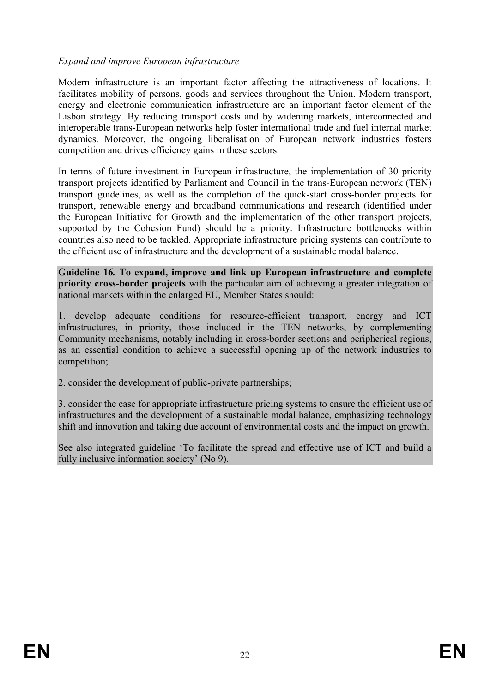#### *Expand and improve European infrastructure*

Modern infrastructure is an important factor affecting the attractiveness of locations. It facilitates mobility of persons, goods and services throughout the Union. Modern transport, energy and electronic communication infrastructure are an important factor element of the Lisbon strategy. By reducing transport costs and by widening markets, interconnected and interoperable trans-European networks help foster international trade and fuel internal market dynamics. Moreover, the ongoing liberalisation of European network industries fosters competition and drives efficiency gains in these sectors.

In terms of future investment in European infrastructure, the implementation of 30 priority transport projects identified by Parliament and Council in the trans-European network (TEN) transport guidelines, as well as the completion of the quick-start cross-border projects for transport, renewable energy and broadband communications and research (identified under the European Initiative for Growth and the implementation of the other transport projects, supported by the Cohesion Fund) should be a priority. Infrastructure bottlenecks within countries also need to be tackled. Appropriate infrastructure pricing systems can contribute to the efficient use of infrastructure and the development of a sustainable modal balance.

**Guideline 16***.* **To expand, improve and link up European infrastructure and complete priority cross-border projects** with the particular aim of achieving a greater integration of national markets within the enlarged EU, Member States should:

1. develop adequate conditions for resource-efficient transport, energy and ICT infrastructures, in priority, those included in the TEN networks, by complementing Community mechanisms, notably including in cross-border sections and peripherical regions, as an essential condition to achieve a successful opening up of the network industries to competition;

2. consider the development of public-private partnerships;

3. consider the case for appropriate infrastructure pricing systems to ensure the efficient use of infrastructures and the development of a sustainable modal balance, emphasizing technology shift and innovation and taking due account of environmental costs and the impact on growth.

See also integrated guideline 'To facilitate the spread and effective use of ICT and build a fully inclusive information society' (No 9).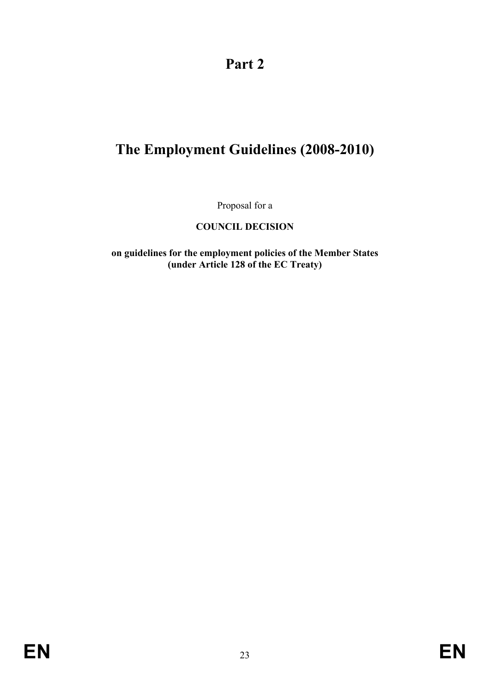**Part 2** 

# **The Employment Guidelines (2008-2010)**

Proposal for a

**COUNCIL DECISION** 

**on guidelines for the employment policies of the Member States (under Article 128 of the EC Treaty)**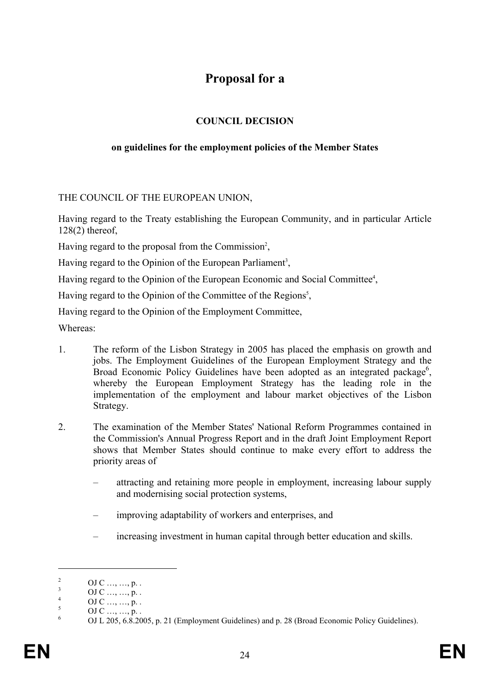# **Proposal for a**

#### **COUNCIL DECISION**

#### **on guidelines for the employment policies of the Member States**

#### THE COUNCIL OF THE EUROPEAN UNION,

Having regard to the Treaty establishing the European Community, and in particular Article  $128(2)$  thereof.

Having regard to the proposal from the Commission<sup>2</sup>,

Having regard to the Opinion of the European Parliament<sup>3</sup>,

Having regard to the Opinion of the European Economic and Social Committee<sup>4</sup>,

Having regard to the Opinion of the Committee of the Regions<sup>5</sup>,

Having regard to the Opinion of the Employment Committee,

Whereas:

- 1. The reform of the Lisbon Strategy in 2005 has placed the emphasis on growth and jobs. The Employment Guidelines of the European Employment Strategy and the Broad Economic Policy Guidelines have been adopted as an integrated package<sup>6</sup>, whereby the European Employment Strategy has the leading role in the implementation of the employment and labour market objectives of the Lisbon Strategy.
- 2. The examination of the Member States' National Reform Programmes contained in the Commission's Annual Progress Report and in the draft Joint Employment Report shows that Member States should continue to make every effort to address the priority areas of
	- attracting and retaining more people in employment, increasing labour supply and modernising social protection systems,
	- improving adaptability of workers and enterprises, and
	- increasing investment in human capital through better education and skills.

<u>.</u>

 $\overline{2}$ OJ C …, …, p. .

<sup>3</sup> OJ C …, …, p. .

<sup>4</sup> OJ C …, …, p. . 5

OJ C …, …, p. . 6

OJ L 205, 6.8.2005, p. 21 (Employment Guidelines) and p. 28 (Broad Economic Policy Guidelines).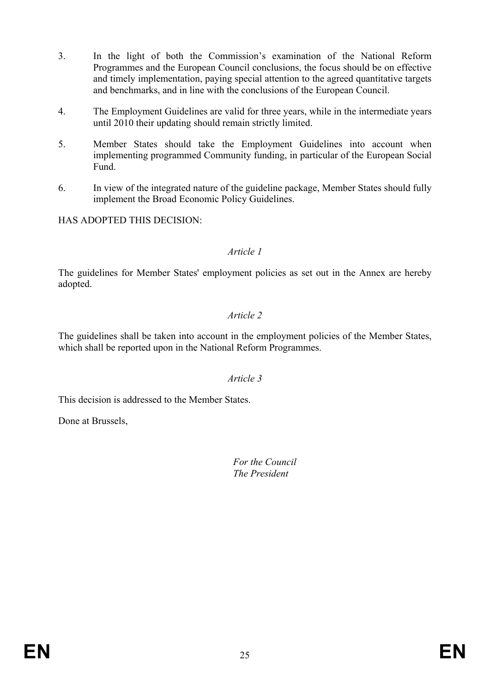- 3. In the light of both the Commission's examination of the National Reform Programmes and the European Council conclusions, the focus should be on effective and timely implementation, paying special attention to the agreed quantitative targets and benchmarks, and in line with the conclusions of the European Council.
- 4. The Employment Guidelines are valid for three years, while in the intermediate years until 2010 their updating should remain strictly limited.
- 5. Member States should take the Employment Guidelines into account when implementing programmed Community funding, in particular of the European Social Fund.
- 6. In view of the integrated nature of the guideline package, Member States should fully implement the Broad Economic Policy Guidelines.

HAS ADOPTED THIS DECISION:

#### *Article 1*

The guidelines for Member States' employment policies as set out in the Annex are hereby adopted.

#### *Article 2*

The guidelines shall be taken into account in the employment policies of the Member States, which shall be reported upon in the National Reform Programmes.

#### *Article 3*

This decision is addressed to the Member States.

Done at Brussels,

 *For the Council The President*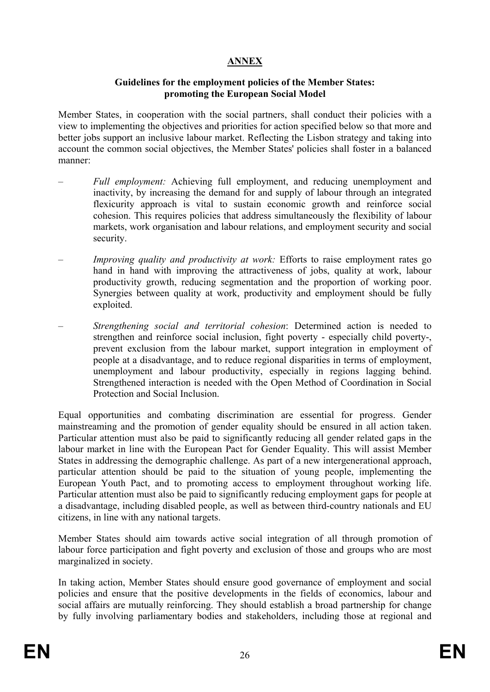# **ANNEX**

#### **Guidelines for the employment policies of the Member States: promoting the European Social Model**

Member States, in cooperation with the social partners, shall conduct their policies with a view to implementing the objectives and priorities for action specified below so that more and better jobs support an inclusive labour market. Reflecting the Lisbon strategy and taking into account the common social objectives, the Member States' policies shall foster in a balanced manner:

- *Full employment:* Achieving full employment, and reducing unemployment and inactivity, by increasing the demand for and supply of labour through an integrated flexicurity approach is vital to sustain economic growth and reinforce social cohesion. This requires policies that address simultaneously the flexibility of labour markets, work organisation and labour relations, and employment security and social security.
- *Improving quality and productivity at work:* Efforts to raise employment rates go hand in hand with improving the attractiveness of jobs, quality at work, labour productivity growth, reducing segmentation and the proportion of working poor. Synergies between quality at work, productivity and employment should be fully exploited.
- *Strengthening social and territorial cohesion*: Determined action is needed to strengthen and reinforce social inclusion, fight poverty - especially child poverty-, prevent exclusion from the labour market, support integration in employment of people at a disadvantage, and to reduce regional disparities in terms of employment, unemployment and labour productivity, especially in regions lagging behind. Strengthened interaction is needed with the Open Method of Coordination in Social Protection and Social Inclusion.

Equal opportunities and combating discrimination are essential for progress. Gender mainstreaming and the promotion of gender equality should be ensured in all action taken. Particular attention must also be paid to significantly reducing all gender related gaps in the labour market in line with the European Pact for Gender Equality. This will assist Member States in addressing the demographic challenge. As part of a new intergenerational approach, particular attention should be paid to the situation of young people, implementing the European Youth Pact, and to promoting access to employment throughout working life. Particular attention must also be paid to significantly reducing employment gaps for people at a disadvantage, including disabled people, as well as between third-country nationals and EU citizens, in line with any national targets.

Member States should aim towards active social integration of all through promotion of labour force participation and fight poverty and exclusion of those and groups who are most marginalized in society.

In taking action, Member States should ensure good governance of employment and social policies and ensure that the positive developments in the fields of economics, labour and social affairs are mutually reinforcing. They should establish a broad partnership for change by fully involving parliamentary bodies and stakeholders, including those at regional and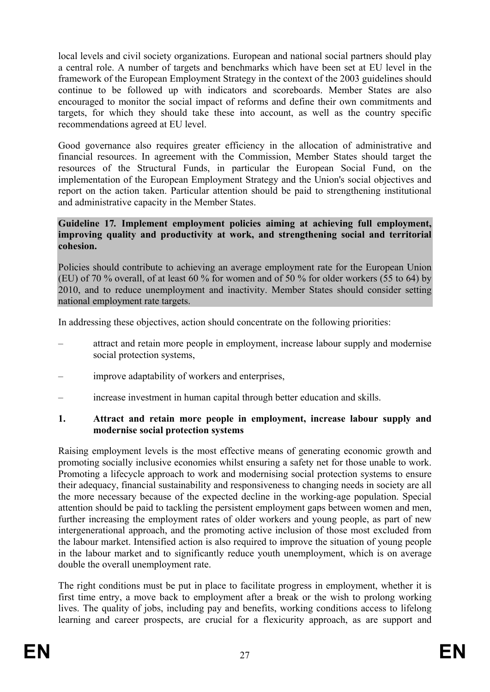local levels and civil society organizations. European and national social partners should play a central role. A number of targets and benchmarks which have been set at EU level in the framework of the European Employment Strategy in the context of the 2003 guidelines should continue to be followed up with indicators and scoreboards. Member States are also encouraged to monitor the social impact of reforms and define their own commitments and targets, for which they should take these into account, as well as the country specific recommendations agreed at EU level.

Good governance also requires greater efficiency in the allocation of administrative and financial resources. In agreement with the Commission, Member States should target the resources of the Structural Funds, in particular the European Social Fund, on the implementation of the European Employment Strategy and the Union's social objectives and report on the action taken. Particular attention should be paid to strengthening institutional and administrative capacity in the Member States.

#### **Guideline 17***.* **Implement employment policies aiming at achieving full employment, improving quality and productivity at work, and strengthening social and territorial cohesion.**

Policies should contribute to achieving an average employment rate for the European Union (EU) of 70 % overall, of at least 60 % for women and of 50 % for older workers (55 to 64) by 2010, and to reduce unemployment and inactivity. Member States should consider setting national employment rate targets.

In addressing these objectives, action should concentrate on the following priorities:

- attract and retain more people in employment, increase labour supply and modernise social protection systems,
- improve adaptability of workers and enterprises,
- increase investment in human capital through better education and skills.

#### **1. Attract and retain more people in employment, increase labour supply and modernise social protection systems**

Raising employment levels is the most effective means of generating economic growth and promoting socially inclusive economies whilst ensuring a safety net for those unable to work. Promoting a lifecycle approach to work and modernising social protection systems to ensure their adequacy, financial sustainability and responsiveness to changing needs in society are all the more necessary because of the expected decline in the working-age population. Special attention should be paid to tackling the persistent employment gaps between women and men, further increasing the employment rates of older workers and young people, as part of new intergenerational approach, and the promoting active inclusion of those most excluded from the labour market. Intensified action is also required to improve the situation of young people in the labour market and to significantly reduce youth unemployment, which is on average double the overall unemployment rate.

The right conditions must be put in place to facilitate progress in employment, whether it is first time entry, a move back to employment after a break or the wish to prolong working lives. The quality of jobs, including pay and benefits, working conditions access to lifelong learning and career prospects, are crucial for a flexicurity approach, as are support and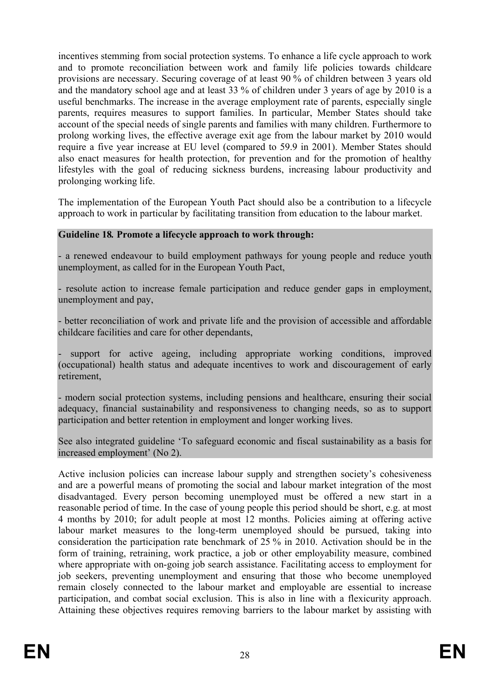incentives stemming from social protection systems. To enhance a life cycle approach to work and to promote reconciliation between work and family life policies towards childcare provisions are necessary. Securing coverage of at least 90 % of children between 3 years old and the mandatory school age and at least 33 % of children under 3 years of age by 2010 is a useful benchmarks. The increase in the average employment rate of parents, especially single parents, requires measures to support families. In particular, Member States should take account of the special needs of single parents and families with many children. Furthermore to prolong working lives, the effective average exit age from the labour market by 2010 would require a five year increase at EU level (compared to 59.9 in 2001). Member States should also enact measures for health protection, for prevention and for the promotion of healthy lifestyles with the goal of reducing sickness burdens, increasing labour productivity and prolonging working life.

The implementation of the European Youth Pact should also be a contribution to a lifecycle approach to work in particular by facilitating transition from education to the labour market.

#### **Guideline 18***.* **Promote a lifecycle approach to work through:**

- a renewed endeavour to build employment pathways for young people and reduce youth unemployment, as called for in the European Youth Pact,

- resolute action to increase female participation and reduce gender gaps in employment, unemployment and pay,

- better reconciliation of work and private life and the provision of accessible and affordable childcare facilities and care for other dependants,

support for active ageing, including appropriate working conditions, improved (occupational) health status and adequate incentives to work and discouragement of early retirement,

- modern social protection systems, including pensions and healthcare, ensuring their social adequacy, financial sustainability and responsiveness to changing needs, so as to support participation and better retention in employment and longer working lives.

See also integrated guideline 'To safeguard economic and fiscal sustainability as a basis for increased employment' (No 2).

Active inclusion policies can increase labour supply and strengthen society's cohesiveness and are a powerful means of promoting the social and labour market integration of the most disadvantaged. Every person becoming unemployed must be offered a new start in a reasonable period of time. In the case of young people this period should be short, e.g. at most 4 months by 2010; for adult people at most 12 months. Policies aiming at offering active labour market measures to the long-term unemployed should be pursued, taking into consideration the participation rate benchmark of 25 % in 2010. Activation should be in the form of training, retraining, work practice, a job or other employability measure, combined where appropriate with on-going job search assistance. Facilitating access to employment for job seekers, preventing unemployment and ensuring that those who become unemployed remain closely connected to the labour market and employable are essential to increase participation, and combat social exclusion. This is also in line with a flexicurity approach. Attaining these objectives requires removing barriers to the labour market by assisting with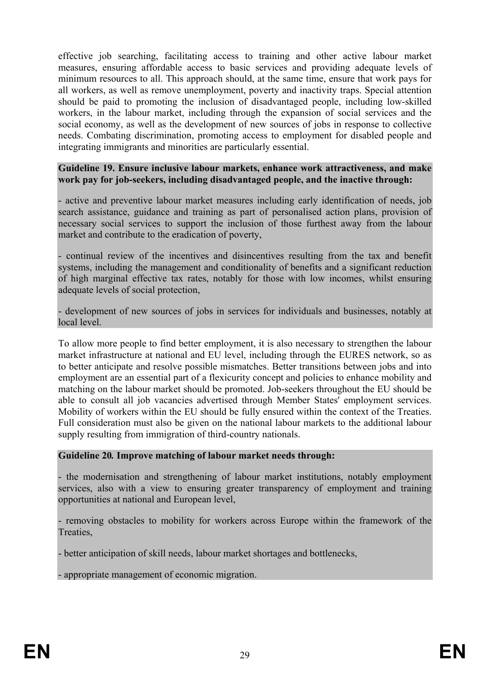effective job searching, facilitating access to training and other active labour market measures, ensuring affordable access to basic services and providing adequate levels of minimum resources to all. This approach should, at the same time, ensure that work pays for all workers, as well as remove unemployment, poverty and inactivity traps. Special attention should be paid to promoting the inclusion of disadvantaged people, including low-skilled workers, in the labour market, including through the expansion of social services and the social economy, as well as the development of new sources of jobs in response to collective needs. Combating discrimination, promoting access to employment for disabled people and integrating immigrants and minorities are particularly essential.

**Guideline 19. Ensure inclusive labour markets, enhance work attractiveness, and make work pay for job-seekers, including disadvantaged people, and the inactive through:**

- active and preventive labour market measures including early identification of needs, job search assistance, guidance and training as part of personalised action plans, provision of necessary social services to support the inclusion of those furthest away from the labour market and contribute to the eradication of poverty,

- continual review of the incentives and disincentives resulting from the tax and benefit systems, including the management and conditionality of benefits and a significant reduction of high marginal effective tax rates, notably for those with low incomes, whilst ensuring adequate levels of social protection,

- development of new sources of jobs in services for individuals and businesses, notably at local level.

To allow more people to find better employment, it is also necessary to strengthen the labour market infrastructure at national and EU level, including through the EURES network, so as to better anticipate and resolve possible mismatches. Better transitions between jobs and into employment are an essential part of a flexicurity concept and policies to enhance mobility and matching on the labour market should be promoted. Job-seekers throughout the EU should be able to consult all job vacancies advertised through Member States' employment services. Mobility of workers within the EU should be fully ensured within the context of the Treaties. Full consideration must also be given on the national labour markets to the additional labour supply resulting from immigration of third-country nationals.

#### **Guideline 20***.* **Improve matching of labour market needs through:**

- the modernisation and strengthening of labour market institutions, notably employment services, also with a view to ensuring greater transparency of employment and training opportunities at national and European level,

- removing obstacles to mobility for workers across Europe within the framework of the Treaties,

- better anticipation of skill needs, labour market shortages and bottlenecks,

- appropriate management of economic migration.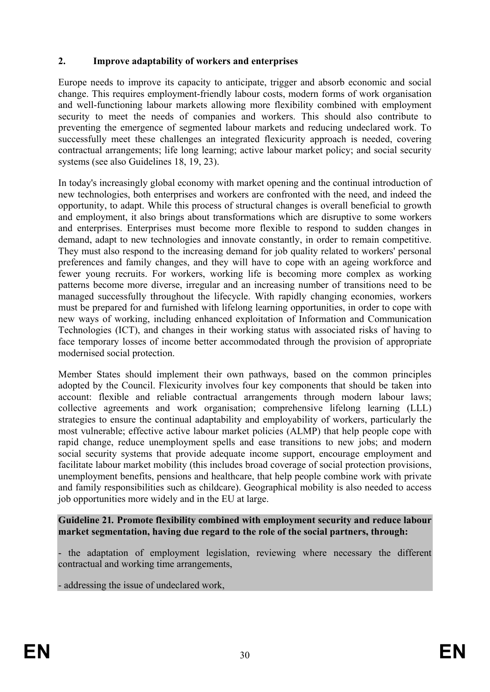# **2. Improve adaptability of workers and enterprises**

Europe needs to improve its capacity to anticipate, trigger and absorb economic and social change. This requires employment-friendly labour costs, modern forms of work organisation and well-functioning labour markets allowing more flexibility combined with employment security to meet the needs of companies and workers. This should also contribute to preventing the emergence of segmented labour markets and reducing undeclared work. To successfully meet these challenges an integrated flexicurity approach is needed, covering contractual arrangements; life long learning; active labour market policy; and social security systems (see also Guidelines 18, 19, 23).

In today's increasingly global economy with market opening and the continual introduction of new technologies, both enterprises and workers are confronted with the need, and indeed the opportunity, to adapt. While this process of structural changes is overall beneficial to growth and employment, it also brings about transformations which are disruptive to some workers and enterprises. Enterprises must become more flexible to respond to sudden changes in demand, adapt to new technologies and innovate constantly, in order to remain competitive. They must also respond to the increasing demand for job quality related to workers' personal preferences and family changes, and they will have to cope with an ageing workforce and fewer young recruits. For workers, working life is becoming more complex as working patterns become more diverse, irregular and an increasing number of transitions need to be managed successfully throughout the lifecycle. With rapidly changing economies, workers must be prepared for and furnished with lifelong learning opportunities, in order to cope with new ways of working, including enhanced exploitation of Information and Communication Technologies (ICT), and changes in their working status with associated risks of having to face temporary losses of income better accommodated through the provision of appropriate modernised social protection.

Member States should implement their own pathways, based on the common principles adopted by the Council. Flexicurity involves four key components that should be taken into account: flexible and reliable contractual arrangements through modern labour laws; collective agreements and work organisation; comprehensive lifelong learning (LLL) strategies to ensure the continual adaptability and employability of workers, particularly the most vulnerable; effective active labour market policies (ALMP) that help people cope with rapid change, reduce unemployment spells and ease transitions to new jobs; and modern social security systems that provide adequate income support, encourage employment and facilitate labour market mobility (this includes broad coverage of social protection provisions, unemployment benefits, pensions and healthcare, that help people combine work with private and family responsibilities such as childcare). Geographical mobility is also needed to access job opportunities more widely and in the EU at large.

#### **Guideline 21***.* **Promote flexibility combined with employment security and reduce labour market segmentation, having due regard to the role of the social partners, through:**

- the adaptation of employment legislation, reviewing where necessary the different contractual and working time arrangements,

- addressing the issue of undeclared work,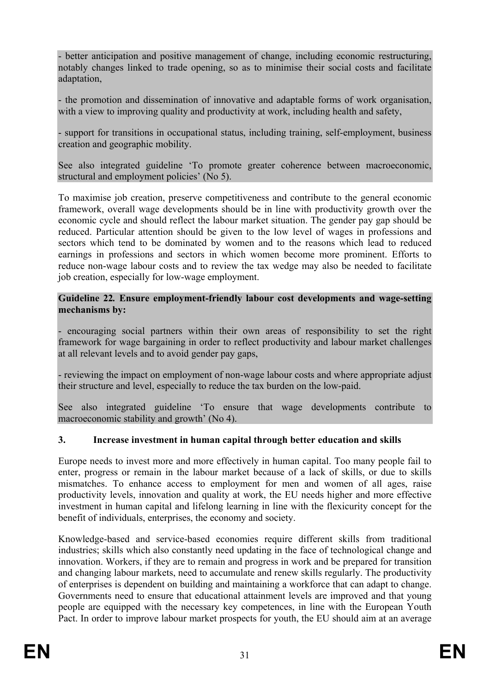- better anticipation and positive management of change, including economic restructuring, notably changes linked to trade opening, so as to minimise their social costs and facilitate adaptation,

- the promotion and dissemination of innovative and adaptable forms of work organisation, with a view to improving quality and productivity at work, including health and safety,

- support for transitions in occupational status, including training, self-employment, business creation and geographic mobility.

See also integrated guideline 'To promote greater coherence between macroeconomic, structural and employment policies' (No 5).

To maximise job creation, preserve competitiveness and contribute to the general economic framework, overall wage developments should be in line with productivity growth over the economic cycle and should reflect the labour market situation. The gender pay gap should be reduced. Particular attention should be given to the low level of wages in professions and sectors which tend to be dominated by women and to the reasons which lead to reduced earnings in professions and sectors in which women become more prominent. Efforts to reduce non-wage labour costs and to review the tax wedge may also be needed to facilitate job creation, especially for low-wage employment.

**Guideline 22***.* **Ensure employment-friendly labour cost developments and wage-setting mechanisms by:** 

- encouraging social partners within their own areas of responsibility to set the right framework for wage bargaining in order to reflect productivity and labour market challenges at all relevant levels and to avoid gender pay gaps,

- reviewing the impact on employment of non-wage labour costs and where appropriate adjust their structure and level, especially to reduce the tax burden on the low-paid.

See also integrated guideline 'To ensure that wage developments contribute to macroeconomic stability and growth' (No 4).

#### **3. Increase investment in human capital through better education and skills**

Europe needs to invest more and more effectively in human capital. Too many people fail to enter, progress or remain in the labour market because of a lack of skills, or due to skills mismatches. To enhance access to employment for men and women of all ages, raise productivity levels, innovation and quality at work, the EU needs higher and more effective investment in human capital and lifelong learning in line with the flexicurity concept for the benefit of individuals, enterprises, the economy and society.

Knowledge-based and service-based economies require different skills from traditional industries; skills which also constantly need updating in the face of technological change and innovation. Workers, if they are to remain and progress in work and be prepared for transition and changing labour markets, need to accumulate and renew skills regularly. The productivity of enterprises is dependent on building and maintaining a workforce that can adapt to change. Governments need to ensure that educational attainment levels are improved and that young people are equipped with the necessary key competences, in line with the European Youth Pact. In order to improve labour market prospects for youth, the EU should aim at an average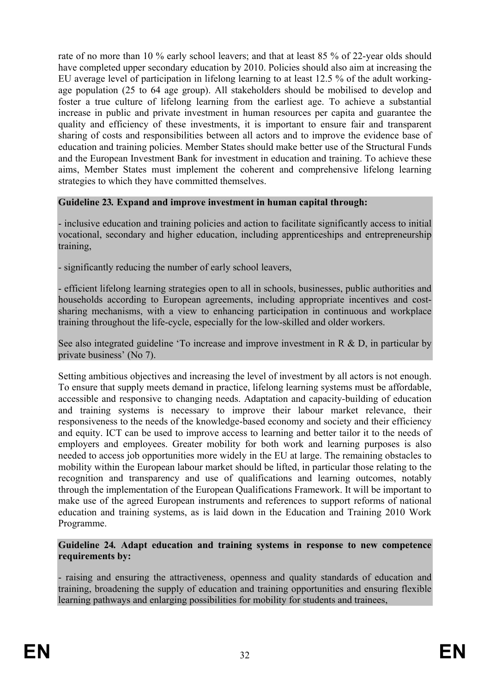rate of no more than 10 % early school leavers; and that at least 85 % of 22-year olds should have completed upper secondary education by 2010. Policies should also aim at increasing the EU average level of participation in lifelong learning to at least 12.5 % of the adult workingage population (25 to 64 age group). All stakeholders should be mobilised to develop and foster a true culture of lifelong learning from the earliest age. To achieve a substantial increase in public and private investment in human resources per capita and guarantee the quality and efficiency of these investments, it is important to ensure fair and transparent sharing of costs and responsibilities between all actors and to improve the evidence base of education and training policies. Member States should make better use of the Structural Funds and the European Investment Bank for investment in education and training. To achieve these aims, Member States must implement the coherent and comprehensive lifelong learning strategies to which they have committed themselves.

#### **Guideline 23***.* **Expand and improve investment in human capital through:**

- inclusive education and training policies and action to facilitate significantly access to initial vocational, secondary and higher education, including apprenticeships and entrepreneurship training,

- significantly reducing the number of early school leavers,

- efficient lifelong learning strategies open to all in schools, businesses, public authorities and households according to European agreements, including appropriate incentives and costsharing mechanisms, with a view to enhancing participation in continuous and workplace training throughout the life-cycle, especially for the low-skilled and older workers.

See also integrated guideline 'To increase and improve investment in R & D, in particular by private business' (No 7).

Setting ambitious objectives and increasing the level of investment by all actors is not enough. To ensure that supply meets demand in practice, lifelong learning systems must be affordable, accessible and responsive to changing needs. Adaptation and capacity-building of education and training systems is necessary to improve their labour market relevance, their responsiveness to the needs of the knowledge-based economy and society and their efficiency and equity. ICT can be used to improve access to learning and better tailor it to the needs of employers and employees. Greater mobility for both work and learning purposes is also needed to access job opportunities more widely in the EU at large. The remaining obstacles to mobility within the European labour market should be lifted, in particular those relating to the recognition and transparency and use of qualifications and learning outcomes, notably through the implementation of the European Qualifications Framework. It will be important to make use of the agreed European instruments and references to support reforms of national education and training systems, as is laid down in the Education and Training 2010 Work Programme.

#### **Guideline 24***.* **Adapt education and training systems in response to new competence requirements by:**

- raising and ensuring the attractiveness, openness and quality standards of education and training, broadening the supply of education and training opportunities and ensuring flexible learning pathways and enlarging possibilities for mobility for students and trainees,